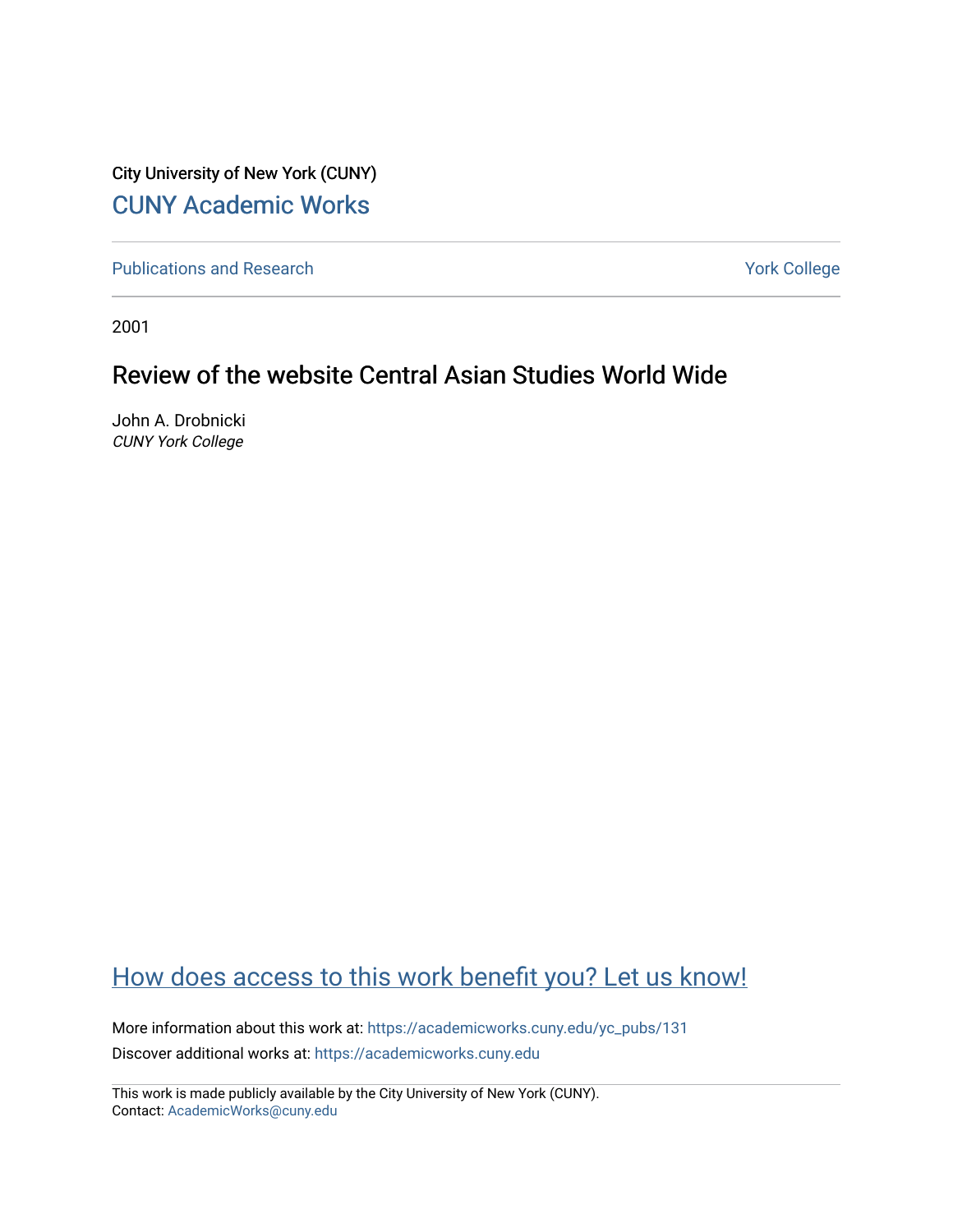City University of New York (CUNY) [CUNY Academic Works](https://academicworks.cuny.edu/) 

[Publications and Research](https://academicworks.cuny.edu/yc_pubs) Theorem 2012 Contract College Vork College

2001

## Review of the website Central Asian Studies World Wide

John A. Drobnicki CUNY York College

## [How does access to this work benefit you? Let us know!](http://ols.cuny.edu/academicworks/?ref=https://academicworks.cuny.edu/yc_pubs/131)

More information about this work at: [https://academicworks.cuny.edu/yc\\_pubs/131](https://academicworks.cuny.edu/yc_pubs/131) Discover additional works at: [https://academicworks.cuny.edu](https://academicworks.cuny.edu/?)

This work is made publicly available by the City University of New York (CUNY). Contact: [AcademicWorks@cuny.edu](mailto:AcademicWorks@cuny.edu)